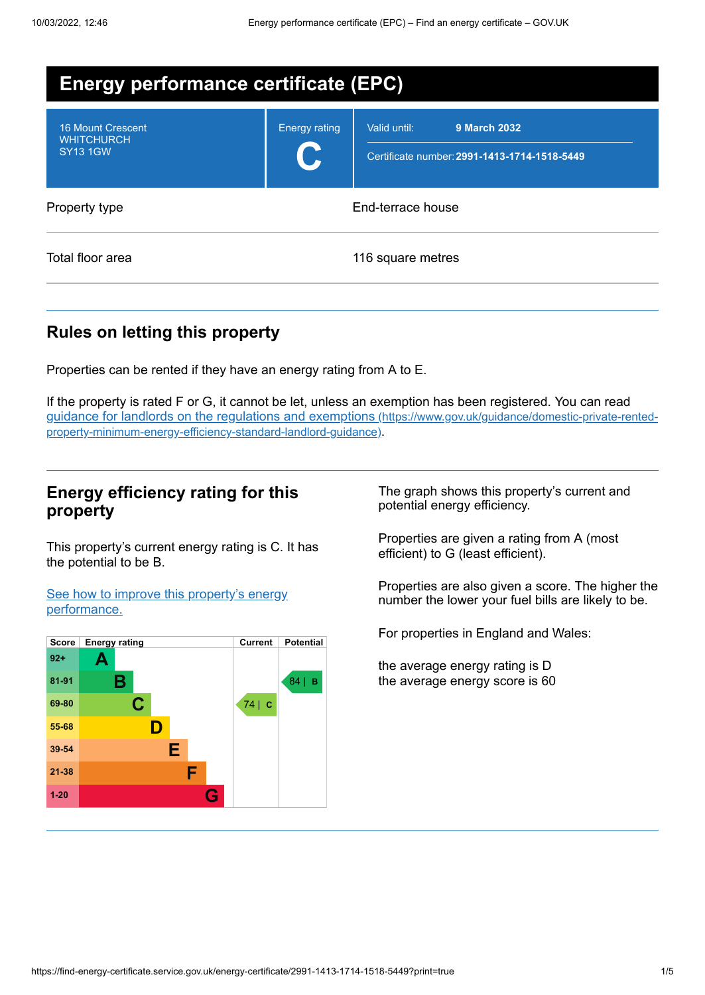| <b>Energy performance certificate (EPC)</b>                      |                      |                                                                                     |
|------------------------------------------------------------------|----------------------|-------------------------------------------------------------------------------------|
| <b>16 Mount Crescent</b><br><b>WHITCHURCH</b><br><b>SY13 1GW</b> | <b>Energy rating</b> | <b>9 March 2032</b><br>Valid until:<br>Certificate number: 2991-1413-1714-1518-5449 |
| Property type                                                    |                      | End-terrace house                                                                   |
| Total floor area                                                 |                      | 116 square metres                                                                   |

# **Rules on letting this property**

Properties can be rented if they have an energy rating from A to E.

If the property is rated F or G, it cannot be let, unless an exemption has been registered. You can read guidance for landlords on the regulations and exemptions (https://www.gov.uk/guidance/domestic-private-rented[property-minimum-energy-efficiency-standard-landlord-guidance\)](https://www.gov.uk/guidance/domestic-private-rented-property-minimum-energy-efficiency-standard-landlord-guidance).

### **Energy efficiency rating for this property**

This property's current energy rating is C. It has the potential to be B.

See how to improve this property's energy [performance.](#page-2-0)



The graph shows this property's current and potential energy efficiency.

Properties are given a rating from A (most efficient) to G (least efficient).

Properties are also given a score. The higher the number the lower your fuel bills are likely to be.

For properties in England and Wales:

the average energy rating is D the average energy score is 60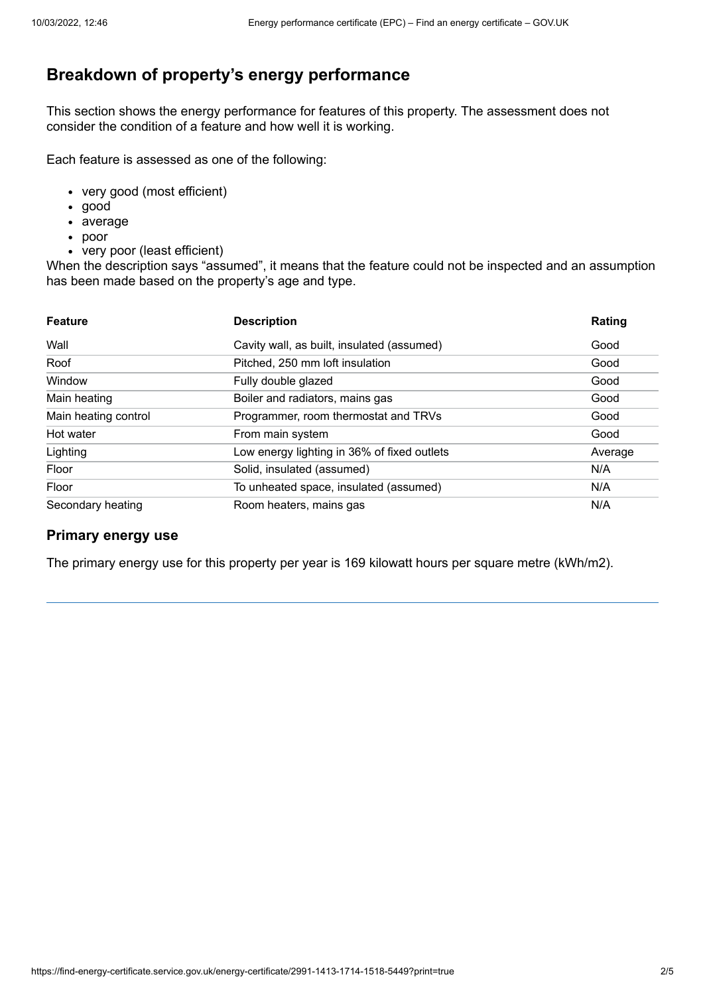# **Breakdown of property's energy performance**

This section shows the energy performance for features of this property. The assessment does not consider the condition of a feature and how well it is working.

Each feature is assessed as one of the following:

- very good (most efficient)
- good
- average
- poor
- very poor (least efficient)

When the description says "assumed", it means that the feature could not be inspected and an assumption has been made based on the property's age and type.

| <b>Feature</b>       | <b>Description</b>                          | Rating  |
|----------------------|---------------------------------------------|---------|
| Wall                 | Cavity wall, as built, insulated (assumed)  | Good    |
| Roof                 | Pitched, 250 mm loft insulation             | Good    |
| Window               | Fully double glazed                         | Good    |
| Main heating         | Boiler and radiators, mains gas             | Good    |
| Main heating control | Programmer, room thermostat and TRVs        | Good    |
| Hot water            | From main system                            | Good    |
| Lighting             | Low energy lighting in 36% of fixed outlets | Average |
| Floor                | Solid, insulated (assumed)                  | N/A     |
| Floor                | To unheated space, insulated (assumed)      | N/A     |
| Secondary heating    | Room heaters, mains gas                     | N/A     |

### **Primary energy use**

The primary energy use for this property per year is 169 kilowatt hours per square metre (kWh/m2).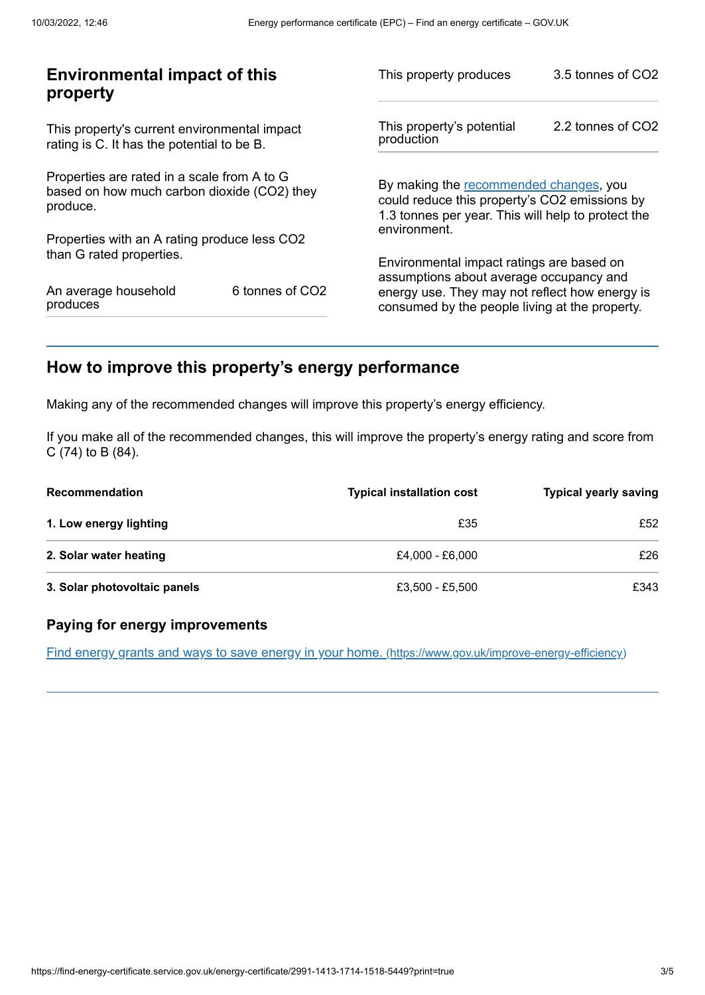| <b>Environmental impact of this</b><br>property                                                        |                 | This property produces                                                                                                                        | 3.5 tonnes of CO2 |
|--------------------------------------------------------------------------------------------------------|-----------------|-----------------------------------------------------------------------------------------------------------------------------------------------|-------------------|
| This property's current environmental impact<br>rating is C. It has the potential to be B.             |                 | This property's potential<br>production                                                                                                       | 2.2 tonnes of CO2 |
| Properties are rated in a scale from A to G<br>based on how much carbon dioxide (CO2) they<br>produce. |                 | By making the recommended changes, you<br>could reduce this property's CO2 emissions by<br>1.3 tonnes per year. This will help to protect the |                   |
| Properties with an A rating produce less CO2                                                           |                 | environment.                                                                                                                                  |                   |
| than G rated properties.                                                                               |                 | Environmental impact ratings are based on<br>assumptions about average occupancy and                                                          |                   |
| An average household<br>produces                                                                       | 6 tonnes of CO2 | energy use. They may not reflect how energy is<br>consumed by the people living at the property.                                              |                   |
|                                                                                                        |                 |                                                                                                                                               |                   |

# <span id="page-2-0"></span>**How to improve this property's energy performance**

Making any of the recommended changes will improve this property's energy efficiency.

If you make all of the recommended changes, this will improve the property's energy rating and score from C (74) to B (84).

| <b>Recommendation</b>        | <b>Typical installation cost</b> | <b>Typical yearly saving</b> |
|------------------------------|----------------------------------|------------------------------|
| 1. Low energy lighting       | £35                              | £52                          |
| 2. Solar water heating       | £4.000 - £6.000                  | £26                          |
| 3. Solar photovoltaic panels | £3,500 - £5,500                  | £343                         |

### **Paying for energy improvements**

Find energy grants and ways to save energy in your home. [\(https://www.gov.uk/improve-energy-efficiency\)](https://www.gov.uk/improve-energy-efficiency)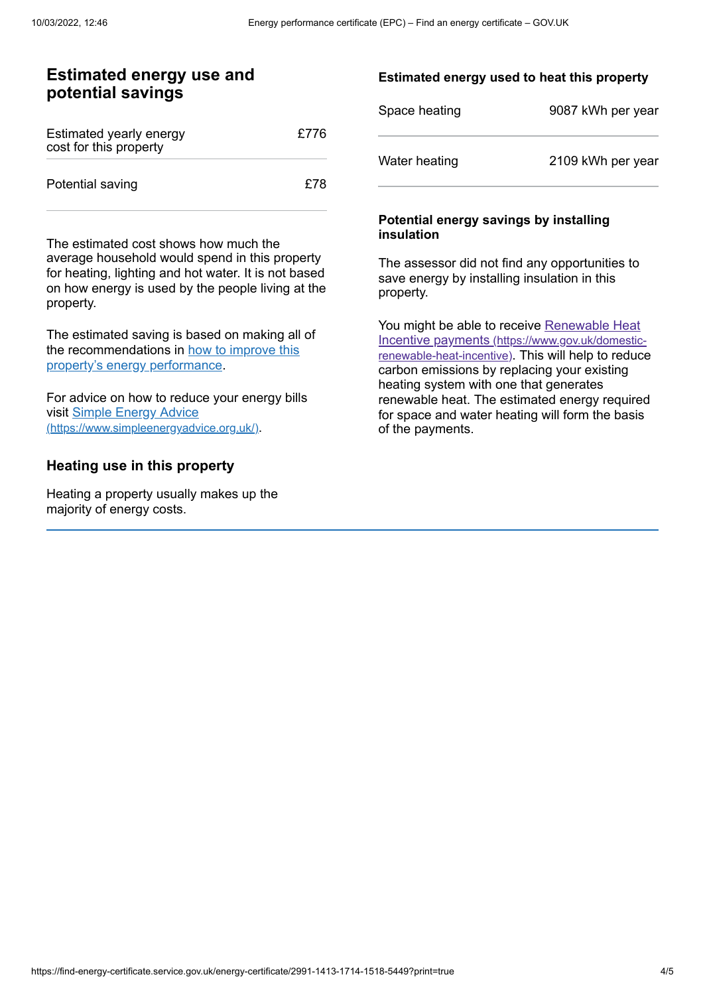### **Estimated energy use and potential savings**

| Estimated yearly energy<br>cost for this property | £776 |
|---------------------------------------------------|------|
| Potential saving                                  | £78  |

The estimated cost shows how much the average household would spend in this property for heating, lighting and hot water. It is not based on how energy is used by the people living at the property.

The estimated saving is based on making all of the [recommendations](#page-2-0) in how to improve this property's energy performance.

For advice on how to reduce your energy bills visit Simple Energy Advice [\(https://www.simpleenergyadvice.org.uk/\)](https://www.simpleenergyadvice.org.uk/).

### **Heating use in this property**

Heating a property usually makes up the majority of energy costs.

#### **Estimated energy used to heat this property**

| Space heating | 9087 kWh per year |
|---------------|-------------------|
| Water heating | 2109 kWh per year |

#### **Potential energy savings by installing insulation**

The assessor did not find any opportunities to save energy by installing insulation in this property.

You might be able to receive Renewable Heat Incentive payments [\(https://www.gov.uk/domestic](https://www.gov.uk/domestic-renewable-heat-incentive)renewable-heat-incentive). This will help to reduce carbon emissions by replacing your existing heating system with one that generates renewable heat. The estimated energy required for space and water heating will form the basis of the payments.